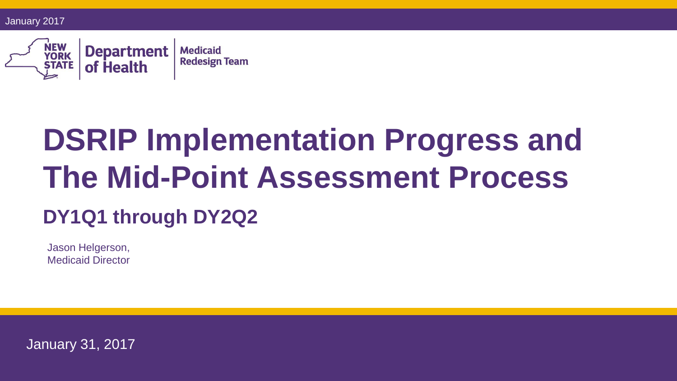January 2017



# **DSRIP Implementation Progress and The Mid-Point Assessment Process DY1Q1 through DY2Q2**

Jason Helgerson, Medicaid Director

January 31, 2017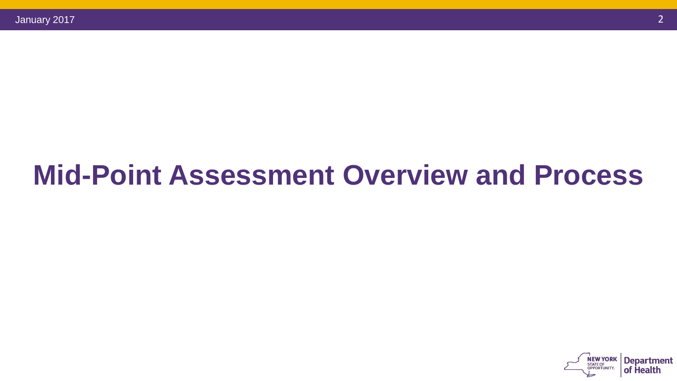## **Mid-Point Assessment Overview and Process**

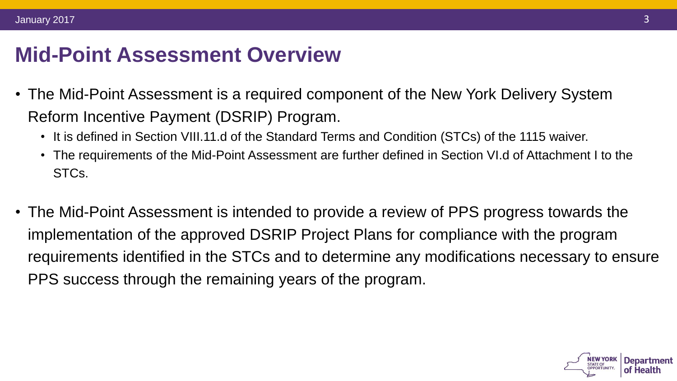### **Mid-Point Assessment Overview**

- The Mid-Point Assessment is a required component of the New York Delivery System Reform Incentive Payment (DSRIP) Program.
	- It is defined in Section VIII.11.d of the Standard Terms and Condition (STCs) of the 1115 waiver.
	- The requirements of the Mid-Point Assessment are further defined in Section VI.d of Attachment I to the STCs.
- The Mid-Point Assessment is intended to provide a review of PPS progress towards the implementation of the approved DSRIP Project Plans for compliance with the program requirements identified in the STCs and to determine any modifications necessary to ensure PPS success through the remaining years of the program.

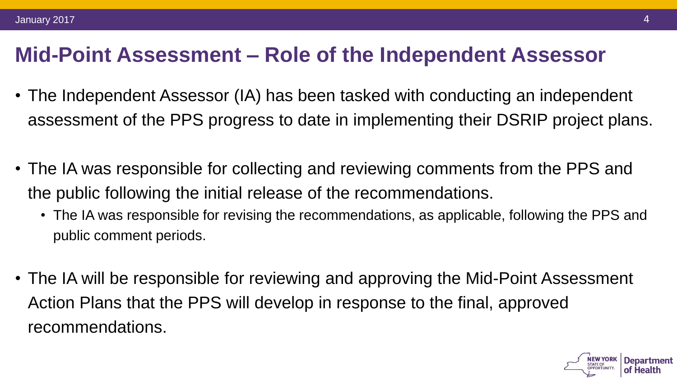#### **Mid-Point Assessment – Role of the Independent Assessor**

- The Independent Assessor (IA) has been tasked with conducting an independent assessment of the PPS progress to date in implementing their DSRIP project plans.
- The IA was responsible for collecting and reviewing comments from the PPS and the public following the initial release of the recommendations.
	- The IA was responsible for revising the recommendations, as applicable, following the PPS and public comment periods.
- The IA will be responsible for reviewing and approving the Mid-Point Assessment Action Plans that the PPS will develop in response to the final, approved recommendations.

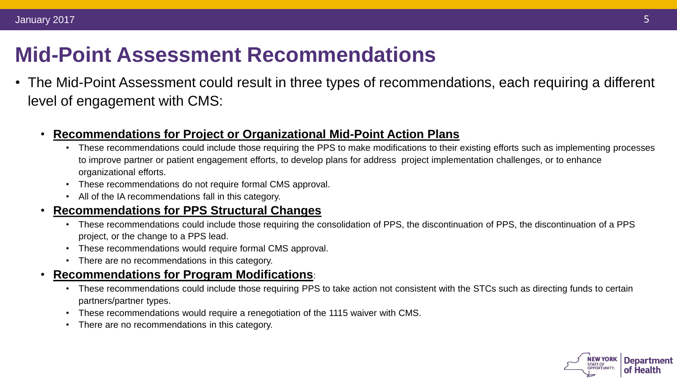### **Mid-Point Assessment Recommendations**

• The Mid-Point Assessment could result in three types of recommendations, each requiring a different level of engagement with CMS:

#### • **Recommendations for Project or Organizational Mid-Point Action Plans**

- These recommendations could include those requiring the PPS to make modifications to their existing efforts such as implementing processes to improve partner or patient engagement efforts, to develop plans for address project implementation challenges, or to enhance organizational efforts.
- These recommendations do not require formal CMS approval.
- All of the IA recommendations fall in this category.

#### • **Recommendations for PPS Structural Changes**

- These recommendations could include those requiring the consolidation of PPS, the discontinuation of PPS, the discontinuation of a PPS project, or the change to a PPS lead.
- These recommendations would require formal CMS approval.
- There are no recommendations in this category.

#### • **Recommendations for Program Modifications**:

- These recommendations could include those requiring PPS to take action not consistent with the STCs such as directing funds to certain partners/partner types.
- These recommendations would require a renegotiation of the 1115 waiver with CMS.
- There are no recommendations in this category.

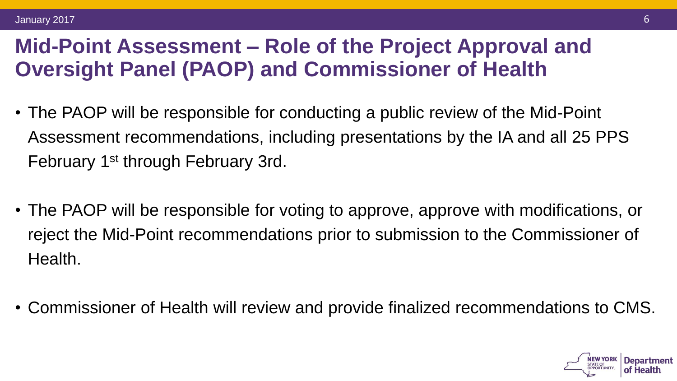#### **Mid-Point Assessment – Role of the Project Approval and Oversight Panel (PAOP) and Commissioner of Health**

- The PAOP will be responsible for conducting a public review of the Mid-Point Assessment recommendations, including presentations by the IA and all 25 PPS February 1st through February 3rd.
- The PAOP will be responsible for voting to approve, approve with modifications, or reject the Mid-Point recommendations prior to submission to the Commissioner of Health.
- Commissioner of Health will review and provide finalized recommendations to CMS.

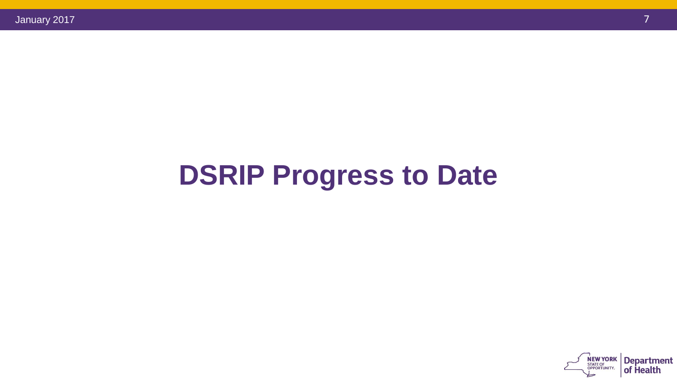## **DSRIP Progress to Date**

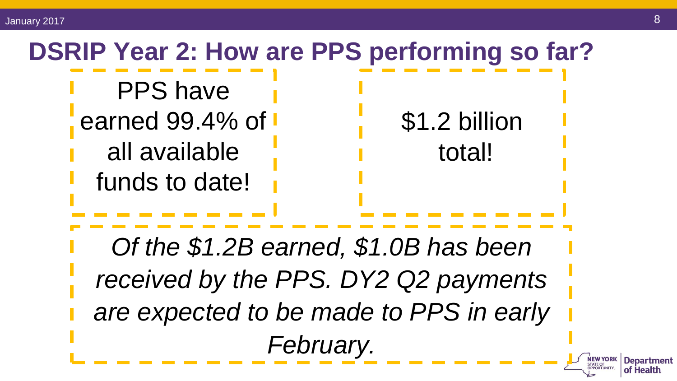## **DSRIP Year 2: How are PPS performing so far?** PPS have earned 99.4% of  $\blacksquare$ \$1.2 billion all available total!funds to date! *Of the \$1.2B earned, \$1.0B has been received by the PPS. DY2 Q2 payments are expected to be made to PPS in early February.*  **NEW YORK**<br>STATE OF

**Department** 

of Health

OPPORTUNITY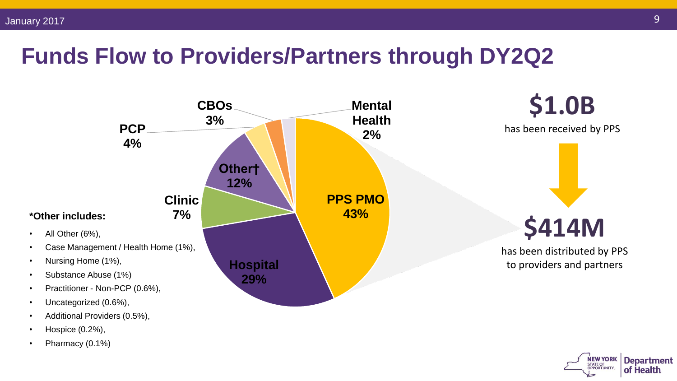### **Funds Flow to Providers/Partners through DY2Q2**



Pharmacy (0.1%)

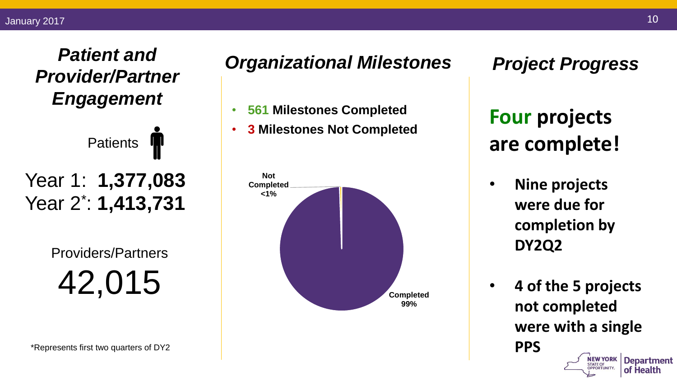#### *Patient and Provider/Partner Engagement*

**Patients** Year 1: **1,377,083** Year 2\* : **1,413,731**

> Providers/Partners 42,015

\*Represents first two quarters of DY2

#### *Organizational Milestones*

- **561 Milestones Completed**
- **3 Milestones Not Completed**



*Project Progress*

**Four projects are complete!**

- **Nine projects were due for completion by DY2Q2**
- **4 of the 5 projects not completed were with a single PPS NEW YORK Department**

STATE OF

of Health

10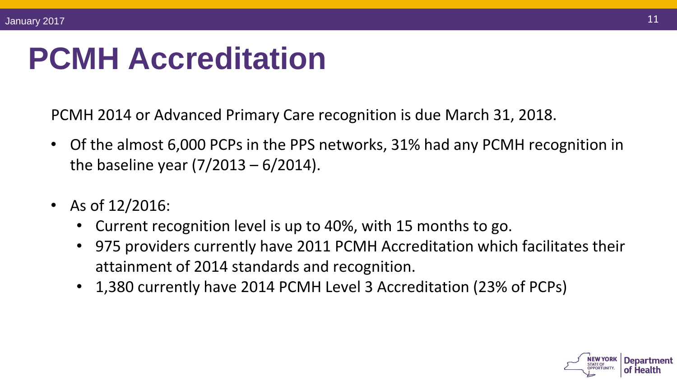# **PCMH Accreditation**

PCMH 2014 or Advanced Primary Care recognition is due March 31, 2018.

- Of the almost 6,000 PCPs in the PPS networks, 31% had any PCMH recognition in the baseline year  $(7/2013 - 6/2014)$ .
- As of 12/2016:
	- Current recognition level is up to 40%, with 15 months to go.
	- 975 providers currently have 2011 PCMH Accreditation which facilitates their attainment of 2014 standards and recognition.
	- 1,380 currently have 2014 PCMH Level 3 Accreditation (23% of PCPs)